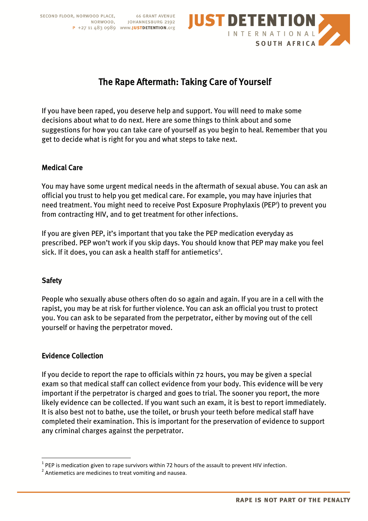SECOND FLOOR, NORWOOD PLACE, 66 GRANT AVENUE<br>NORWOOD, JOHANNESBURG 2192 P +27 11 483 0989 www.JUSTDETENTION.org



# The Rape Aftermath: Taking Care of Yourself

If you have been raped, you deserve help and support. You will need to make some decisions about what to do next. Here are some things to think about and some suggestions for how you can take care of yourself as you begin to heal. Remember that you get to decide what is right for you and what steps to take next.

#### Medical Care

You may have some urgent medical needs in the aftermath of sexual abuse. You can ask an official you trust to help you get medical care. For example, you may have injuries that need treatment. You might need to receive Post Exposure Prophylaxis (PEP<sup>1</sup>) to prevent you from contracting HIV, and to get treatment for other infections.

If you are given PEP, it's important that you take the PEP medication everyday as prescribed. PEP won't work if you skip days. You should know that PEP may make you feel sick. If it does, you can ask a health staff for antiemetics<sup>2</sup>.

## **Safety**

 $\overline{a}$ 

People who sexually abuse others often do so again and again. If you are in a cell with the rapist, you may be at risk for further violence. You can ask an official you trust to protect you. You can ask to be separated from the perpetrator, either by moving out of the cell yourself or having the perpetrator moved.

## Evidence Collection

If you decide to report the rape to officials within 72 hours, you may be given a special exam so that medical staff can collect evidence from your body. This evidence will be very important if the perpetrator is charged and goes to trial. The sooner you report, the more likely evidence can be collected. If you want such an exam, it is best to report immediately. It is also best not to bathe, use the toilet, or brush your teeth before medical staff have completed their examination. This is important for the preservation of evidence to support any criminal charges against the perpetrator.

 $^{1}$  PEP is medication given to rape survivors within 72 hours of the assault to prevent HIV infection.

 $2$  Antiemetics are medicines to treat vomiting and nausea.